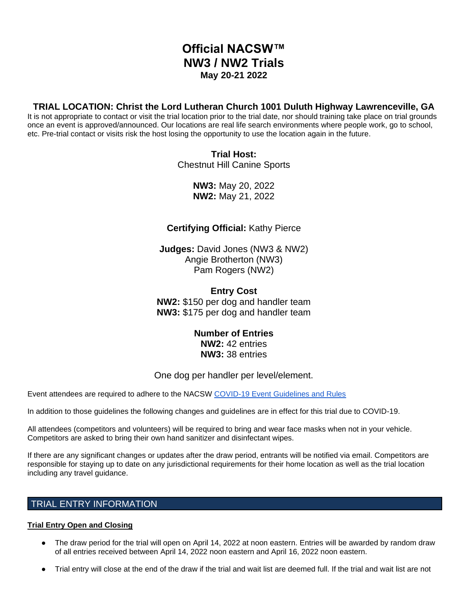# **Official NACSW™ NW3 / NW2 Trials May 20-21 2022**

# **TRIAL LOCATION: Christ the Lord Lutheran Church 1001 Duluth Highway Lawrenceville, GA**

It is not appropriate to contact or visit the trial location prior to the trial date, nor should training take place on trial grounds once an event is approved/announced. Our locations are real life search environments where people work, go to school, etc. Pre-trial contact or visits risk the host losing the opportunity to use the location again in the future.

> **Trial Host:** Chestnut Hill Canine Sports

> > **NW3:** May 20, 2022 **NW2:** May 21, 2022

# **Certifying Official:** Kathy Pierce

**Judges:** David Jones (NW3 & NW2) Angie Brotherton (NW3) Pam Rogers (NW2)

**Entry Cost NW2:** \$150 per dog and handler team **NW3:** \$175 per dog and handler team

> **Number of Entries NW2:** 42 entries **NW3:** 38 entries

# One dog per handler per level/element.

Event attendees are required to adhere to the NACSW [COVID-19 Event Guidelines and Rules](https://drive.google.com/open?id=1pMMICXeMDJV2iFxAFOuPAMXEBoRmaik0qzSE4tiZuSI)

In addition to those guidelines the following changes and guidelines are in effect for this trial due to COVID-19.

All attendees (competitors and volunteers) will be required to bring and wear face masks when not in your vehicle. Competitors are asked to bring their own hand sanitizer and disinfectant wipes.

If there are any significant changes or updates after the draw period, entrants will be notified via email. Competitors are responsible for staying up to date on any jurisdictional requirements for their home location as well as the trial location including any travel guidance.

# TRIAL ENTRY INFORMATION

### **Trial Entry Open and Closing**

- The draw period for the trial will open on April 14, 2022 at noon eastern. Entries will be awarded by random draw of all entries received between April 14, 2022 noon eastern and April 16, 2022 noon eastern.
- Trial entry will close at the end of the draw if the trial and wait list are deemed full. If the trial and wait list are not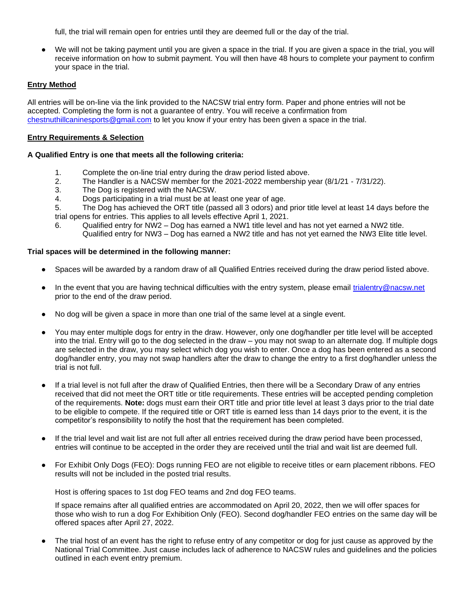full, the trial will remain open for entries until they are deemed full or the day of the trial.

We will not be taking payment until you are given a space in the trial. If you are given a space in the trial, you will receive information on how to submit payment. You will then have 48 hours to complete your payment to confirm your space in the trial.

#### **Entry Method**

All entries will be on-line via the link provided to the NACSW trial entry form. Paper and phone entries will not be accepted. Completing the form is not a guarantee of entry. You will receive a confirmation from [chestnuthillcaninesports@gmail.com](mailto:chestnuthillcaninesports@gmail.com) to let you know if your entry has been given a space in the trial.

#### **Entry Requirements & Selection**

#### **A Qualified Entry is one that meets all the following criteria:**

- 1. Complete the on-line trial entry during the draw period listed above.
- 2. The Handler is a NACSW member for the 2021-2022 membership year (8/1/21 7/31/22).
- 3. The Dog is registered with the NACSW.
- 4. Dogs participating in a trial must be at least one year of age.

5. The Dog has achieved the ORT title (passed all 3 odors) and prior title level at least 14 days before the trial opens for entries. This applies to all levels effective April 1, 2021.

6. Qualified entry for NW2 – Dog has earned a NW1 title level and has not yet earned a NW2 title. Qualified entry for NW3 – Dog has earned a NW2 title and has not yet earned the NW3 Elite title level.

#### **Trial spaces will be determined in the following manner:**

- Spaces will be awarded by a random draw of all Qualified Entries received during the draw period listed above.
- In the event that you are having technical difficulties with the entry system, please email [trialentry@nacsw.net](mailto:trialentry@nacsw.net) prior to the end of the draw period.
- No dog will be given a space in more than one trial of the same level at a single event.
- You may enter multiple dogs for entry in the draw. However, only one dog/handler per title level will be accepted into the trial. Entry will go to the dog selected in the draw – you may not swap to an alternate dog. If multiple dogs are selected in the draw, you may select which dog you wish to enter. Once a dog has been entered as a second dog/handler entry, you may not swap handlers after the draw to change the entry to a first dog/handler unless the trial is not full.
- If a trial level is not full after the draw of Qualified Entries, then there will be a Secondary Draw of any entries received that did not meet the ORT title or title requirements. These entries will be accepted pending completion of the requirements. **Note:** dogs must earn their ORT title and prior title level at least 3 days prior to the trial date to be eligible to compete. If the required title or ORT title is earned less than 14 days prior to the event, it is the competitor's responsibility to notify the host that the requirement has been completed.
- If the trial level and wait list are not full after all entries received during the draw period have been processed, entries will continue to be accepted in the order they are received until the trial and wait list are deemed full.
- For Exhibit Only Dogs (FEO): Dogs running FEO are not eligible to receive titles or earn placement ribbons. FEO results will not be included in the posted trial results.

Host is offering spaces to 1st dog FEO teams and 2nd dog FEO teams.

If space remains after all qualified entries are accommodated on April 20, 2022, then we will offer spaces for those who wish to run a dog For Exhibition Only (FEO). Second dog/handler FEO entries on the same day will be offered spaces after April 27, 2022.

The trial host of an event has the right to refuse entry of any competitor or dog for just cause as approved by the National Trial Committee. Just cause includes lack of adherence to NACSW rules and guidelines and the policies outlined in each event entry premium.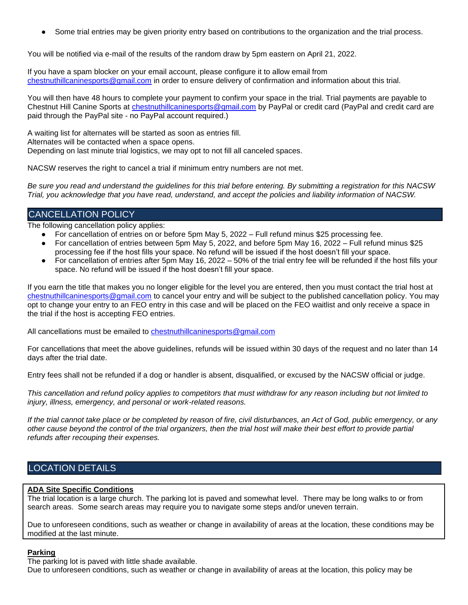Some trial entries may be given priority entry based on contributions to the organization and the trial process.

You will be notified via e-mail of the results of the random draw by 5pm eastern on April 21, 2022.

If you have a spam blocker on your email account, please configure it to allow email from [chestnuthillcaninesports@gmail.com](mailto:chestnuthillcaninesports@gmail.com) in order to ensure delivery of confirmation and information about this trial.

You will then have 48 hours to complete your payment to confirm your space in the trial. Trial payments are payable to Chestnut Hill Canine Sports at [chestnuthillcaninesports@gmail.com](mailto:chestnuthillcaninesports@gmail.com) by PayPal or credit card (PayPal and credit card are paid through the PayPal site - no PayPal account required.)

A waiting list for alternates will be started as soon as entries fill. Alternates will be contacted when a space opens. Depending on last minute trial logistics, we may opt to not fill all canceled spaces.

NACSW reserves the right to cancel a trial if minimum entry numbers are not met.

*Be sure you read and understand the guidelines for this trial before entering. By submitting a registration for this NACSW Trial, you acknowledge that you have read, understand, and accept the policies and liability information of NACSW.*

# CANCELLATION POLICY

The following cancellation policy applies:

- For cancellation of entries on or before 5pm May 5, 2022 Full refund minus \$25 processing fee.
- For cancellation of entries between 5pm May 5, 2022, and before 5pm May 16, 2022 Full refund minus \$25 processing fee if the host fills your space. No refund will be issued if the host doesn't fill your space.
- For cancellation of entries after 5pm May 16, 2022 50% of the trial entry fee will be refunded if the host fills your space. No refund will be issued if the host doesn't fill your space.

If you earn the title that makes you no longer eligible for the level you are entered, then you must contact the trial host at [chestnuthillcaninesports@gmail.com](mailto:chestnuthillcaninesports@gmail.com) to cancel your entry and will be subject to the published cancellation policy. You may opt to change your entry to an FEO entry in this case and will be placed on the FEO waitlist and only receive a space in the trial if the host is accepting FEO entries.

All cancellations must be emailed to [chestnuthillcaninesports@gmail.com](mailto:chestnuthillcaninesports@gmail.com)

For cancellations that meet the above guidelines, refunds will be issued within 30 days of the request and no later than 14 days after the trial date.

Entry fees shall not be refunded if a dog or handler is absent, disqualified, or excused by the NACSW official or judge.

*This cancellation and refund policy applies to competitors that must withdraw for any reason including but not limited to injury, illness, emergency, and personal or work-related reasons.*

*If the trial cannot take place or be completed by reason of fire, civil disturbances, an Act of God, public emergency, or any other cause beyond the control of the trial organizers, then the trial host will make their best effort to provide partial refunds after recouping their expenses.*

# LOCATION DETAILS

#### **ADA Site Specific Conditions**

The trial location is a large church. The parking lot is paved and somewhat level. There may be long walks to or from search areas. Some search areas may require you to navigate some steps and/or uneven terrain.

Due to unforeseen conditions, such as weather or change in availability of areas at the location, these conditions may be modified at the last minute.

#### **Parking**

The parking lot is paved with little shade available.

Due to unforeseen conditions, such as weather or change in availability of areas at the location, this policy may be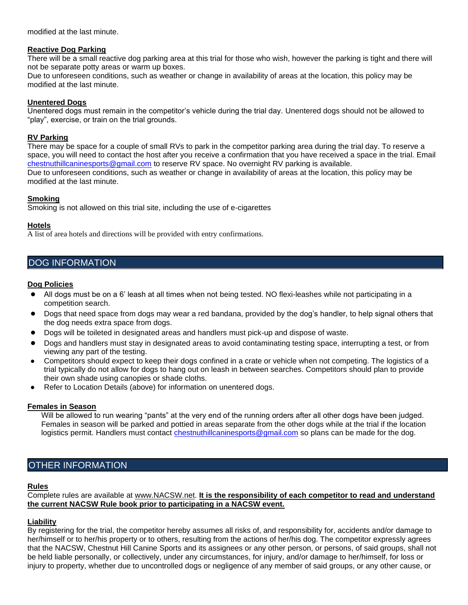modified at the last minute.

#### **Reactive Dog Parking**

There will be a small reactive dog parking area at this trial for those who wish, however the parking is tight and there will not be separate potty areas or warm up boxes.

Due to unforeseen conditions, such as weather or change in availability of areas at the location, this policy may be modified at the last minute.

#### **Unentered Dogs**

Unentered dogs must remain in the competitor's vehicle during the trial day. Unentered dogs should not be allowed to "play", exercise, or train on the trial grounds.

#### **RV Parking**

There may be space for a couple of small RVs to park in the competitor parking area during the trial day. To reserve a space, you will need to contact the host after you receive a confirmation that you have received a space in the trial. Email [chestnuthillcaninesports@gmail.com](mailto:chestnuthillcaninesports@gmail.com) to reserve RV space. No overnight RV parking is available. Due to unforeseen conditions, such as weather or change in availability of areas at the location, this policy may be modified at the last minute.

**Smoking**

Smoking is not allowed on this trial site, including the use of e-cigarettes

#### **Hotels**

A list of area hotels and directions will be provided with entry confirmations.

# DOG INFORMATION

#### **Dog Policies**

- All dogs must be on a 6' leash at all times when not being tested. NO flexi-leashes while not participating in a competition search.
- Dogs that need space from dogs may wear a red bandana, provided by the dog's handler, to help signal others that the dog needs extra space from dogs.
- Dogs will be toileted in designated areas and handlers must pick-up and dispose of waste.
- Dogs and handlers must stay in designated areas to avoid contaminating testing space, interrupting a test, or from viewing any part of the testing.
- Competitors should expect to keep their dogs confined in a crate or vehicle when not competing. The logistics of a trial typically do not allow for dogs to hang out on leash in between searches. Competitors should plan to provide their own shade using canopies or shade cloths.
- Refer to Location Details (above) for information on unentered dogs.

#### **Females in Season**

Will be allowed to run wearing "pants" at the very end of the running orders after all other dogs have been judged. Females in season will be parked and pottied in areas separate from the other dogs while at the trial if the location logistics permit. Handlers must contact [chestnuthillcaninesports@gmail.com](mailto:chestnuthillcaninesports@gmail.com) so plans can be made for the dog.

### OTHER INFORMATION

#### **Rules**

Complete rules are available at [www.NACSW.net.](http://www.nacsw.net/) **It is the responsibility of each competitor to read and understand the current NACSW Rule book prior to participating in a NACSW event.** 

#### **Liability**

By registering for the trial, the competitor hereby assumes all risks of, and responsibility for, accidents and/or damage to her/himself or to her/his property or to others, resulting from the actions of her/his dog. The competitor expressly agrees that the NACSW, Chestnut Hill Canine Sports and its assignees or any other person, or persons, of said groups, shall not be held liable personally, or collectively, under any circumstances, for injury, and/or damage to her/himself, for loss or injury to property, whether due to uncontrolled dogs or negligence of any member of said groups, or any other cause, or